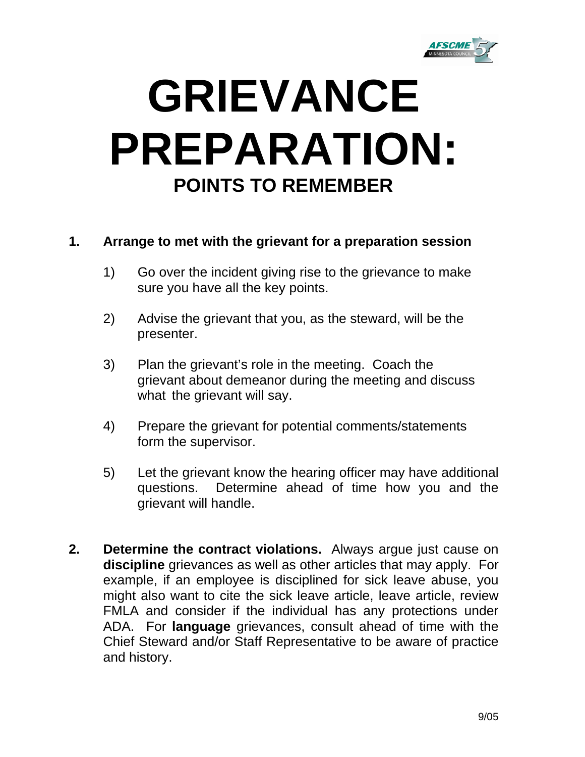

## **GRIEVANCE PREPARATION: POINTS TO REMEMBER**

## **1. Arrange to met with the grievant for a preparation session**

- 1) Go over the incident giving rise to the grievance to make sure you have all the key points.
- 2) Advise the grievant that you, as the steward, will be the presenter.
- 3) Plan the grievant's role in the meeting. Coach the grievant about demeanor during the meeting and discuss what the grievant will say.
- 4) Prepare the grievant for potential comments/statements form the supervisor.
- 5) Let the grievant know the hearing officer may have additional questions. Determine ahead of time how you and the grievant will handle.
- **2. Determine the contract violations.** Always argue just cause on **discipline** grievances as well as other articles that may apply. For example, if an employee is disciplined for sick leave abuse, you might also want to cite the sick leave article, leave article, review FMLA and consider if the individual has any protections under ADA. For **language** grievances, consult ahead of time with the Chief Steward and/or Staff Representative to be aware of practice and history.